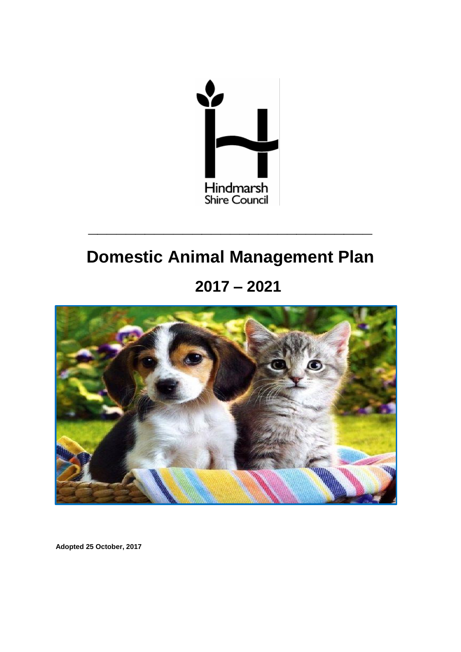

# **Domestic Animal Management Plan**

**\_\_\_\_\_\_\_\_\_\_\_\_\_\_\_\_\_\_\_\_\_\_\_\_\_\_\_\_\_\_**

**2017 – 2021**



**Adopted 25 October, 2017**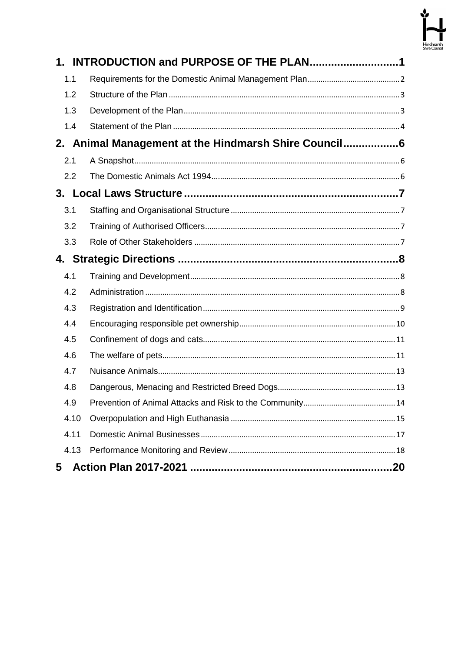

| 1.   |                                                     |
|------|-----------------------------------------------------|
| 1.1  |                                                     |
| 1.2  |                                                     |
| 1.3  |                                                     |
| 1.4  |                                                     |
|      | 2. Animal Management at the Hindmarsh Shire Council |
| 2.1  |                                                     |
| 2.2  |                                                     |
|      |                                                     |
| 3.1  |                                                     |
| 3.2  |                                                     |
| 3.3  |                                                     |
|      |                                                     |
| 4.1  |                                                     |
| 4.2  |                                                     |
| 4.3  |                                                     |
| 4.4  |                                                     |
| 4.5  |                                                     |
| 4.6  |                                                     |
| 4.7  |                                                     |
| 4.8  |                                                     |
| 4.9  |                                                     |
| 4.10 |                                                     |
| 4.11 |                                                     |
| 4.13 |                                                     |
| 5    |                                                     |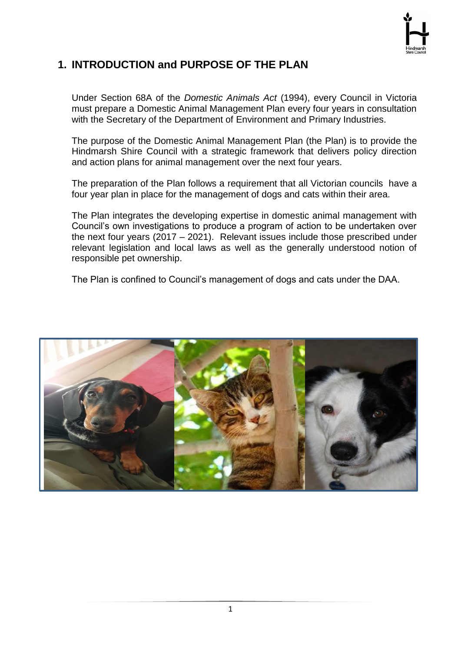

# <span id="page-2-0"></span>**1. INTRODUCTION and PURPOSE OF THE PLAN**

Under Section 68A of the *Domestic Animals Act* (1994), every Council in Victoria must prepare a Domestic Animal Management Plan every four years in consultation with the Secretary of the Department of Environment and Primary Industries.

The purpose of the Domestic Animal Management Plan (the Plan) is to provide the Hindmarsh Shire Council with a strategic framework that delivers policy direction and action plans for animal management over the next four years.

The preparation of the Plan follows a requirement that all Victorian councils have a four year plan in place for the management of dogs and cats within their area.

The Plan integrates the developing expertise in domestic animal management with Council's own investigations to produce a program of action to be undertaken over the next four years (2017 – 2021). Relevant issues include those prescribed under relevant legislation and local laws as well as the generally understood notion of responsible pet ownership.

The Plan is confined to Council's management of dogs and cats under the DAA.

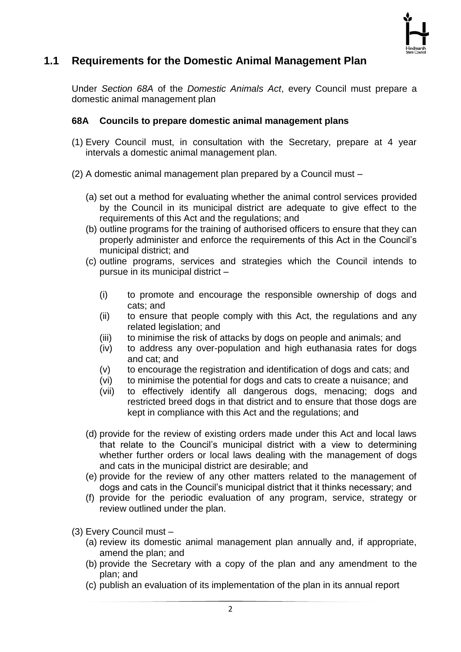

# <span id="page-3-0"></span>**1.1 Requirements for the Domestic Animal Management Plan**

Under *Section 68A* of the *Domestic Animals Act*, every Council must prepare a domestic animal management plan

#### **68A Councils to prepare domestic animal management plans**

- (1) Every Council must, in consultation with the Secretary, prepare at 4 year intervals a domestic animal management plan.
- (2) A domestic animal management plan prepared by a Council must
	- (a) set out a method for evaluating whether the animal control services provided by the Council in its municipal district are adequate to give effect to the requirements of this Act and the regulations; and
	- (b) outline programs for the training of authorised officers to ensure that they can properly administer and enforce the requirements of this Act in the Council's municipal district; and
	- (c) outline programs, services and strategies which the Council intends to pursue in its municipal district –
		- (i) to promote and encourage the responsible ownership of dogs and cats; and
		- (ii) to ensure that people comply with this Act, the regulations and any related legislation; and
		- (iii) to minimise the risk of attacks by dogs on people and animals; and
		- (iv) to address any over-population and high euthanasia rates for dogs and cat; and
		- (v) to encourage the registration and identification of dogs and cats; and
		- (vi) to minimise the potential for dogs and cats to create a nuisance; and
		- (vii) to effectively identify all dangerous dogs, menacing; dogs and restricted breed dogs in that district and to ensure that those dogs are kept in compliance with this Act and the regulations; and
	- (d) provide for the review of existing orders made under this Act and local laws that relate to the Council's municipal district with a view to determining whether further orders or local laws dealing with the management of dogs and cats in the municipal district are desirable; and
	- (e) provide for the review of any other matters related to the management of dogs and cats in the Council's municipal district that it thinks necessary; and
	- (f) provide for the periodic evaluation of any program, service, strategy or review outlined under the plan.
- (3) Every Council must
	- (a) review its domestic animal management plan annually and, if appropriate, amend the plan; and
	- (b) provide the Secretary with a copy of the plan and any amendment to the plan; and
	- (c) publish an evaluation of its implementation of the plan in its annual report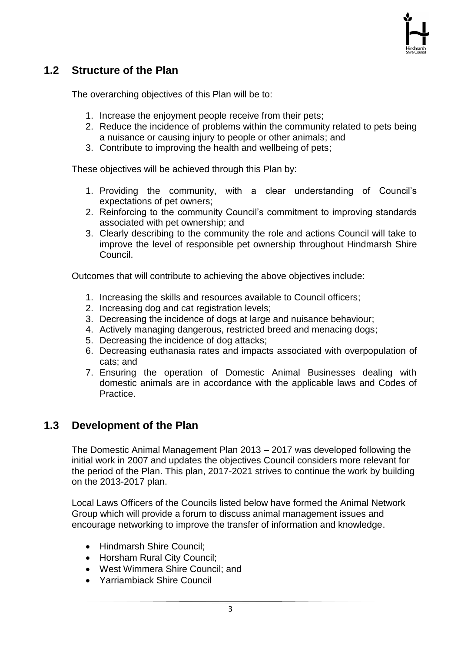# <span id="page-4-0"></span>**1.2 Structure of the Plan**

The overarching objectives of this Plan will be to:

- 1. Increase the enjoyment people receive from their pets;
- 2. Reduce the incidence of problems within the community related to pets being a nuisance or causing injury to people or other animals; and
- 3. Contribute to improving the health and wellbeing of pets;

These objectives will be achieved through this Plan by:

- 1. Providing the community, with a clear understanding of Council's expectations of pet owners;
- 2. Reinforcing to the community Council's commitment to improving standards associated with pet ownership; and
- 3. Clearly describing to the community the role and actions Council will take to improve the level of responsible pet ownership throughout Hindmarsh Shire Council.

Outcomes that will contribute to achieving the above objectives include:

- 1. Increasing the skills and resources available to Council officers;
- 2. Increasing dog and cat registration levels;
- 3. Decreasing the incidence of dogs at large and nuisance behaviour;
- 4. Actively managing dangerous, restricted breed and menacing dogs;
- 5. Decreasing the incidence of dog attacks;
- 6. Decreasing euthanasia rates and impacts associated with overpopulation of cats; and
- 7. Ensuring the operation of Domestic Animal Businesses dealing with domestic animals are in accordance with the applicable laws and Codes of Practice.

## <span id="page-4-1"></span>**1.3 Development of the Plan**

The Domestic Animal Management Plan 2013 – 2017 was developed following the initial work in 2007 and updates the objectives Council considers more relevant for the period of the Plan. This plan, 2017-2021 strives to continue the work by building on the 2013-2017 plan.

Local Laws Officers of the Councils listed below have formed the Animal Network Group which will provide a forum to discuss animal management issues and encourage networking to improve the transfer of information and knowledge.

- Hindmarsh Shire Council:
- Horsham Rural City Council:
- West Wimmera Shire Council; and
- Yarriambiack Shire Council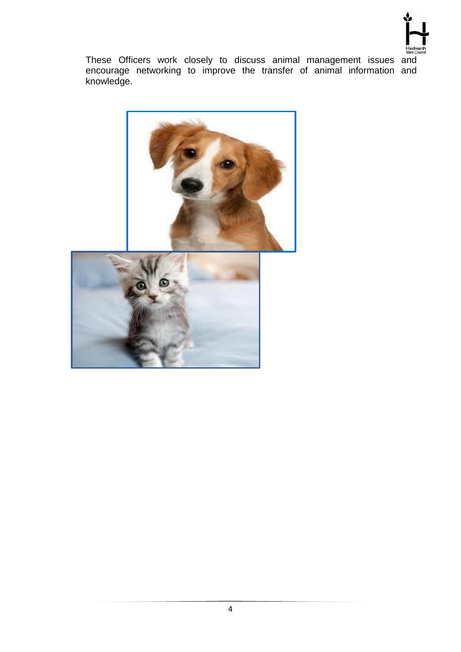

These Officers work closely to discuss animal management issues and encourage networking to improve the transfer of animal information and knowledge.

<span id="page-5-0"></span>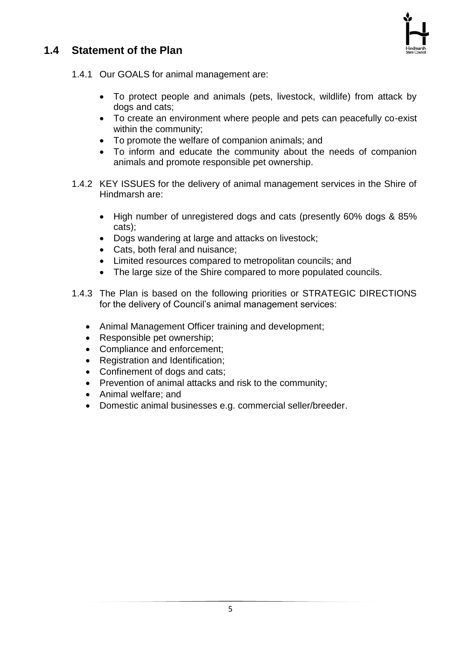# **1.4 Statement of the Plan**



1.4.1 Our GOALS for animal management are:

- To protect people and animals (pets, livestock, wildlife) from attack by dogs and cats;
- To create an environment where people and pets can peacefully co-exist within the community;
- To promote the welfare of companion animals; and
- To inform and educate the community about the needs of companion animals and promote responsible pet ownership.
- 1.4.2 KEY ISSUES for the delivery of animal management services in the Shire of Hindmarsh are:
	- High number of unregistered dogs and cats (presently 60% dogs & 85% cats);
	- Dogs wandering at large and attacks on livestock;
	- Cats, both feral and nuisance;
	- Limited resources compared to metropolitan councils; and
	- The large size of the Shire compared to more populated councils.
- 1.4.3 The Plan is based on the following priorities or STRATEGIC DIRECTIONS for the delivery of Council's animal management services:
	- Animal Management Officer training and development;
	- Responsible pet ownership;
	- Compliance and enforcement;
	- Registration and Identification;
	- Confinement of dogs and cats;
	- Prevention of animal attacks and risk to the community;
	- Animal welfare: and
	- Domestic animal businesses e.g. commercial seller/breeder.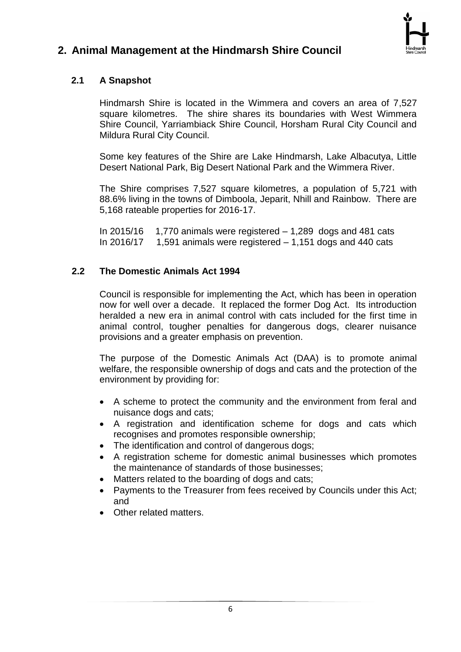

# <span id="page-7-1"></span><span id="page-7-0"></span>**2. Animal Management at the Hindmarsh Shire Council**

## **2.1 A Snapshot**

Hindmarsh Shire is located in the Wimmera and covers an area of 7,527 square kilometres. The shire shares its boundaries with West Wimmera Shire Council, Yarriambiack Shire Council, Horsham Rural City Council and Mildura Rural City Council.

Some key features of the Shire are Lake Hindmarsh, Lake Albacutya, Little Desert National Park, Big Desert National Park and the Wimmera River.

The Shire comprises 7,527 square kilometres, a population of 5,721 with 88.6% living in the towns of Dimboola, Jeparit, Nhill and Rainbow. There are 5,168 rateable properties for 2016-17.

In  $2015/16$  1,770 animals were registered  $-1,289$  dogs and 481 cats In 2016/17  $\,$  1.591 animals were registered  $-$  1.151 dogs and 440 cats

#### <span id="page-7-2"></span>**2.2 The Domestic Animals Act 1994**

Council is responsible for implementing the Act, which has been in operation now for well over a decade. It replaced the former Dog Act. Its introduction heralded a new era in animal control with cats included for the first time in animal control, tougher penalties for dangerous dogs, clearer nuisance provisions and a greater emphasis on prevention.

The purpose of the Domestic Animals Act (DAA) is to promote animal welfare, the responsible ownership of dogs and cats and the protection of the environment by providing for:

- A scheme to protect the community and the environment from feral and nuisance dogs and cats;
- A registration and identification scheme for dogs and cats which recognises and promotes responsible ownership;
- The identification and control of dangerous dogs;
- A registration scheme for domestic animal businesses which promotes the maintenance of standards of those businesses;
- Matters related to the boarding of dogs and cats;
- Payments to the Treasurer from fees received by Councils under this Act; and
- Other related matters.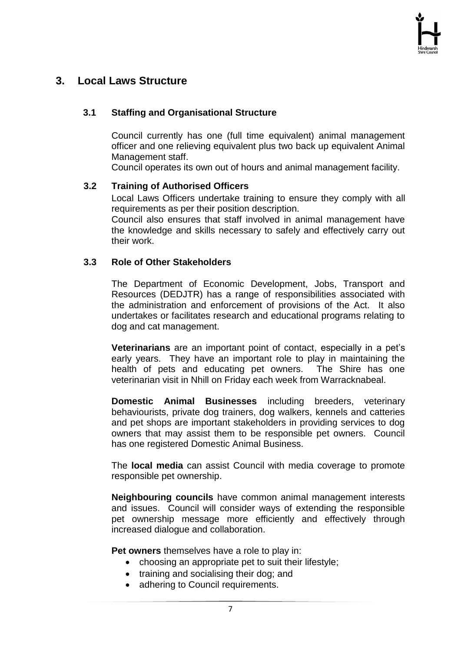## <span id="page-8-1"></span><span id="page-8-0"></span>**3. Local Laws Structure**

#### **3.1 Staffing and Organisational Structure**

Council currently has one (full time equivalent) animal management officer and one relieving equivalent plus two back up equivalent Animal Management staff.

Council operates its own out of hours and animal management facility.

#### <span id="page-8-2"></span>**3.2 Training of Authorised Officers**

Local Laws Officers undertake training to ensure they comply with all requirements as per their position description.

Council also ensures that staff involved in animal management have the knowledge and skills necessary to safely and effectively carry out their work.

#### <span id="page-8-3"></span>**3.3 Role of Other Stakeholders**

The Department of Economic Development, Jobs, Transport and Resources (DEDJTR) has a range of responsibilities associated with the administration and enforcement of provisions of the Act. It also undertakes or facilitates research and educational programs relating to dog and cat management.

**Veterinarians** are an important point of contact, especially in a pet's early years. They have an important role to play in maintaining the health of pets and educating pet owners. The Shire has one veterinarian visit in Nhill on Friday each week from Warracknabeal.

**Domestic Animal Businesses** including breeders, veterinary behaviourists, private dog trainers, dog walkers, kennels and catteries and pet shops are important stakeholders in providing services to dog owners that may assist them to be responsible pet owners. Council has one registered Domestic Animal Business.

The **local media** can assist Council with media coverage to promote responsible pet ownership.

**Neighbouring councils** have common animal management interests and issues. Council will consider ways of extending the responsible pet ownership message more efficiently and effectively through increased dialogue and collaboration.

**Pet owners** themselves have a role to play in:

- choosing an appropriate pet to suit their lifestyle;
- training and socialising their dog; and
- adhering to Council requirements.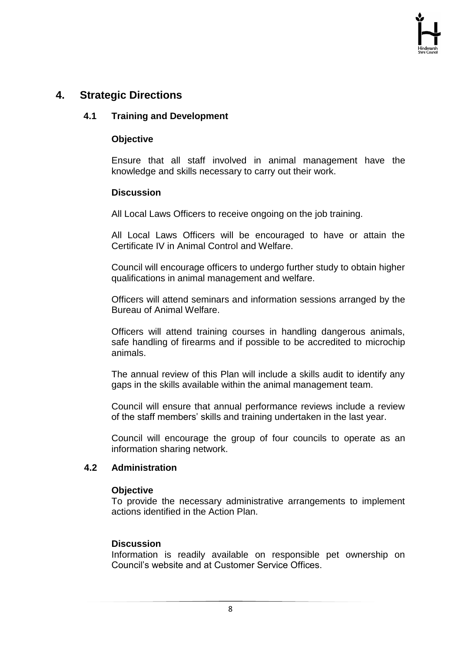## <span id="page-9-1"></span><span id="page-9-0"></span>**4. Strategic Directions**

#### **4.1 Training and Development**

#### **Objective**

Ensure that all staff involved in animal management have the knowledge and skills necessary to carry out their work.

#### **Discussion**

All Local Laws Officers to receive ongoing on the job training.

All Local Laws Officers will be encouraged to have or attain the Certificate IV in Animal Control and Welfare.

Council will encourage officers to undergo further study to obtain higher qualifications in animal management and welfare.

Officers will attend seminars and information sessions arranged by the Bureau of Animal Welfare.

Officers will attend training courses in handling dangerous animals, safe handling of firearms and if possible to be accredited to microchip animals.

The annual review of this Plan will include a skills audit to identify any gaps in the skills available within the animal management team.

Council will ensure that annual performance reviews include a review of the staff members' skills and training undertaken in the last year.

Council will encourage the group of four councils to operate as an information sharing network.

#### <span id="page-9-2"></span>**4.2 Administration**

#### **Objective**

To provide the necessary administrative arrangements to implement actions identified in the Action Plan.

#### **Discussion**

Information is readily available on responsible pet ownership on Council's website and at Customer Service Offices.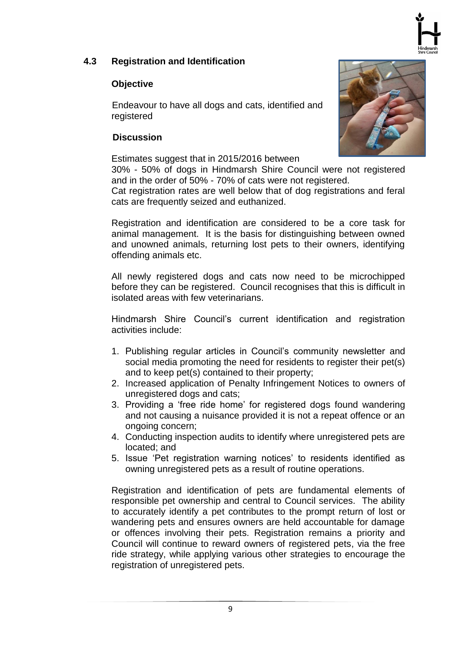

#### <span id="page-10-0"></span>**4.3 Registration and Identification**

#### **Objective**

 Endeavour to have all dogs and cats, identified and registered

#### **Discussion**

Estimates suggest that in 2015/2016 between

30% - 50% of dogs in Hindmarsh Shire Council were not registered and in the order of 50% - 70% of cats were not registered.

Cat registration rates are well below that of dog registrations and feral cats are frequently seized and euthanized.

Registration and identification are considered to be a core task for animal management. It is the basis for distinguishing between owned and unowned animals, returning lost pets to their owners, identifying offending animals etc.

All newly registered dogs and cats now need to be microchipped before they can be registered. Council recognises that this is difficult in isolated areas with few veterinarians.

Hindmarsh Shire Council's current identification and registration activities include:

- 1. Publishing regular articles in Council's community newsletter and social media promoting the need for residents to register their pet(s) and to keep pet(s) contained to their property;
- 2. Increased application of Penalty Infringement Notices to owners of unregistered dogs and cats;
- 3. Providing a 'free ride home' for registered dogs found wandering and not causing a nuisance provided it is not a repeat offence or an ongoing concern;
- 4. Conducting inspection audits to identify where unregistered pets are located; and
- 5. Issue 'Pet registration warning notices' to residents identified as owning unregistered pets as a result of routine operations.

Registration and identification of pets are fundamental elements of responsible pet ownership and central to Council services. The ability to accurately identify a pet contributes to the prompt return of lost or wandering pets and ensures owners are held accountable for damage or offences involving their pets. Registration remains a priority and Council will continue to reward owners of registered pets, via the free ride strategy, while applying various other strategies to encourage the registration of unregistered pets.

9

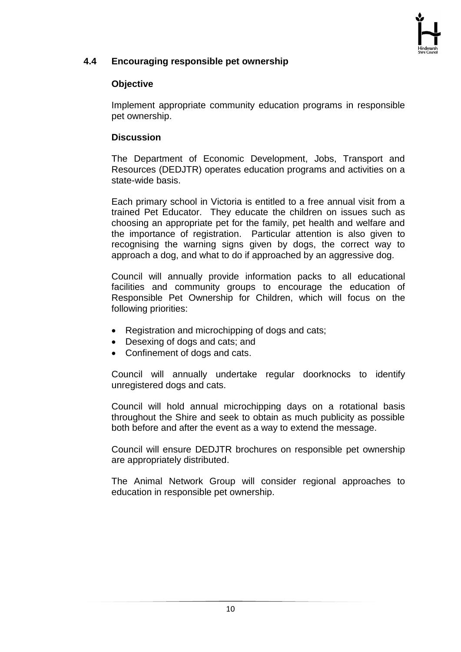

#### <span id="page-11-0"></span>**4.4 Encouraging responsible pet ownership**

#### **Objective**

Implement appropriate community education programs in responsible pet ownership.

#### **Discussion**

The Department of Economic Development, Jobs, Transport and Resources (DEDJTR) operates education programs and activities on a state-wide basis.

Each primary school in Victoria is entitled to a free annual visit from a trained Pet Educator. They educate the children on issues such as choosing an appropriate pet for the family, pet health and welfare and the importance of registration. Particular attention is also given to recognising the warning signs given by dogs, the correct way to approach a dog, and what to do if approached by an aggressive dog.

Council will annually provide information packs to all educational facilities and community groups to encourage the education of Responsible Pet Ownership for Children, which will focus on the following priorities:

- Registration and microchipping of dogs and cats;
- Desexing of dogs and cats; and
- Confinement of dogs and cats.

Council will annually undertake regular doorknocks to identify unregistered dogs and cats.

Council will hold annual microchipping days on a rotational basis throughout the Shire and seek to obtain as much publicity as possible both before and after the event as a way to extend the message.

Council will ensure DEDJTR brochures on responsible pet ownership are appropriately distributed.

<span id="page-11-1"></span>The Animal Network Group will consider regional approaches to education in responsible pet ownership.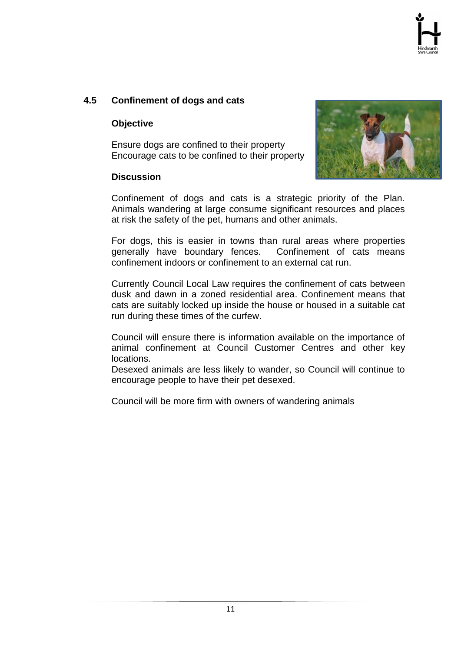#### **4.5 Confinement of dogs and cats**

#### **Objective**

Ensure dogs are confined to their property Encourage cats to be confined to their property

#### **Discussion**



Confinement of dogs and cats is a strategic priority of the Plan. Animals wandering at large consume significant resources and places at risk the safety of the pet, humans and other animals.

For dogs, this is easier in towns than rural areas where properties generally have boundary fences. Confinement of cats means confinement indoors or confinement to an external cat run.

Currently Council Local Law requires the confinement of cats between dusk and dawn in a zoned residential area. Confinement means that cats are suitably locked up inside the house or housed in a suitable cat run during these times of the curfew.

Council will ensure there is information available on the importance of animal confinement at Council Customer Centres and other key locations.

Desexed animals are less likely to wander, so Council will continue to encourage people to have their pet desexed.

<span id="page-12-0"></span>Council will be more firm with owners of wandering animals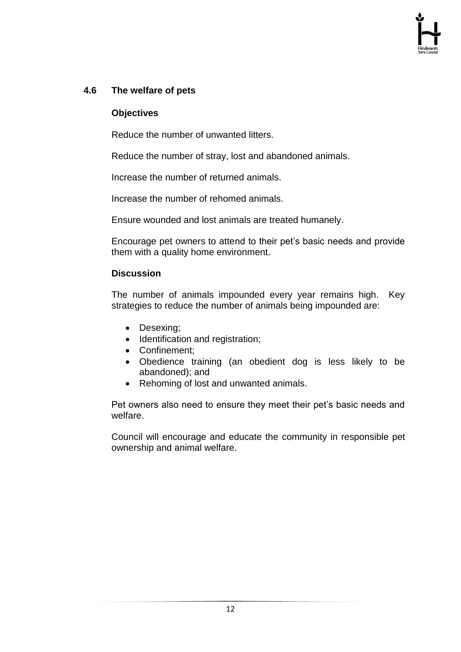#### **4.6 The welfare of pets**

#### **Objectives**

Reduce the number of unwanted litters.

Reduce the number of stray, lost and abandoned animals.

Increase the number of returned animals.

Increase the number of rehomed animals.

Ensure wounded and lost animals are treated humanely.

Encourage pet owners to attend to their pet's basic needs and provide them with a quality home environment.

#### **Discussion**

The number of animals impounded every year remains high. Key strategies to reduce the number of animals being impounded are:

- Desexing;
- Identification and registration;
- Confinement:
- Obedience training (an obedient dog is less likely to be abandoned); and
- Rehoming of lost and unwanted animals.

Pet owners also need to ensure they meet their pet's basic needs and welfare.

<span id="page-13-0"></span>Council will encourage and educate the community in responsible pet ownership and animal welfare.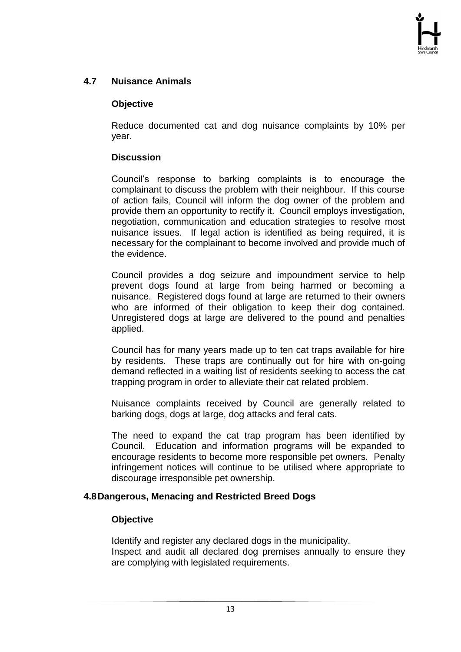#### **4.7 Nuisance Animals**

#### **Objective**

Reduce documented cat and dog nuisance complaints by 10% per year.

#### **Discussion**

Council's response to barking complaints is to encourage the complainant to discuss the problem with their neighbour. If this course of action fails, Council will inform the dog owner of the problem and provide them an opportunity to rectify it. Council employs investigation, negotiation, communication and education strategies to resolve most nuisance issues. If legal action is identified as being required, it is necessary for the complainant to become involved and provide much of the evidence.

Council provides a dog seizure and impoundment service to help prevent dogs found at large from being harmed or becoming a nuisance. Registered dogs found at large are returned to their owners who are informed of their obligation to keep their dog contained. Unregistered dogs at large are delivered to the pound and penalties applied.

Council has for many years made up to ten cat traps available for hire by residents. These traps are continually out for hire with on-going demand reflected in a waiting list of residents seeking to access the cat trapping program in order to alleviate their cat related problem.

Nuisance complaints received by Council are generally related to barking dogs, dogs at large, dog attacks and feral cats.

The need to expand the cat trap program has been identified by Council. Education and information programs will be expanded to encourage residents to become more responsible pet owners. Penalty infringement notices will continue to be utilised where appropriate to discourage irresponsible pet ownership.

#### **4.8Dangerous, Menacing and Restricted Breed Dogs**

#### <span id="page-14-0"></span>**Objective**

Identify and register any declared dogs in the municipality. Inspect and audit all declared dog premises annually to ensure they are complying with legislated requirements.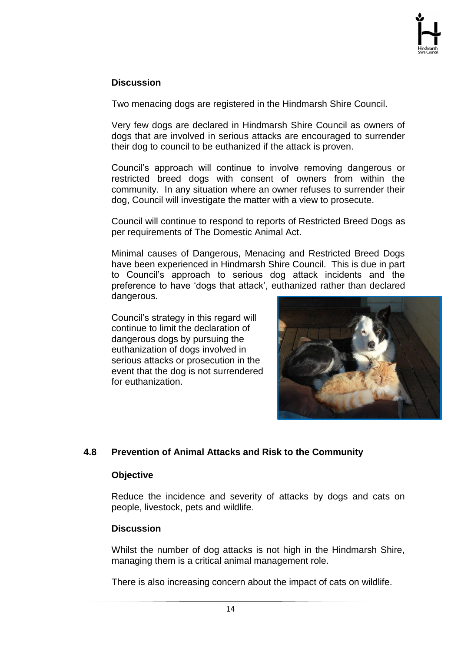#### **Discussion**

Two menacing dogs are registered in the Hindmarsh Shire Council.

Very few dogs are declared in Hindmarsh Shire Council as owners of dogs that are involved in serious attacks are encouraged to surrender their dog to council to be euthanized if the attack is proven.

Council's approach will continue to involve removing dangerous or restricted breed dogs with consent of owners from within the community. In any situation where an owner refuses to surrender their dog, Council will investigate the matter with a view to prosecute.

Council will continue to respond to reports of Restricted Breed Dogs as per requirements of The Domestic Animal Act.

Minimal causes of Dangerous, Menacing and Restricted Breed Dogs have been experienced in Hindmarsh Shire Council. This is due in part to Council's approach to serious dog attack incidents and the preference to have 'dogs that attack', euthanized rather than declared dangerous.

Council's strategy in this regard will continue to limit the declaration of dangerous dogs by pursuing the euthanization of dogs involved in serious attacks or prosecution in the event that the dog is not surrendered for euthanization.



#### <span id="page-15-0"></span>**4.8 Prevention of Animal Attacks and Risk to the Community**

#### **Objective**

Reduce the incidence and severity of attacks by dogs and cats on people, livestock, pets and wildlife.

#### **Discussion**

Whilst the number of dog attacks is not high in the Hindmarsh Shire, managing them is a critical animal management role.

There is also increasing concern about the impact of cats on wildlife.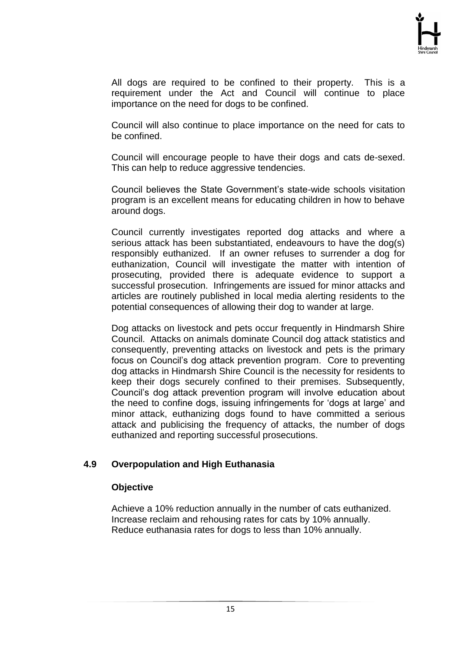All dogs are required to be confined to their property. This is a requirement under the Act and Council will continue to place importance on the need for dogs to be confined.

Council will also continue to place importance on the need for cats to be confined.

Council will encourage people to have their dogs and cats de-sexed. This can help to reduce aggressive tendencies.

Council believes the State Government's state-wide schools visitation program is an excellent means for educating children in how to behave around dogs.

Council currently investigates reported dog attacks and where a serious attack has been substantiated, endeavours to have the dog(s) responsibly euthanized. If an owner refuses to surrender a dog for euthanization, Council will investigate the matter with intention of prosecuting, provided there is adequate evidence to support a successful prosecution. Infringements are issued for minor attacks and articles are routinely published in local media alerting residents to the potential consequences of allowing their dog to wander at large.

Dog attacks on livestock and pets occur frequently in Hindmarsh Shire Council. Attacks on animals dominate Council dog attack statistics and consequently, preventing attacks on livestock and pets is the primary focus on Council's dog attack prevention program. Core to preventing dog attacks in Hindmarsh Shire Council is the necessity for residents to keep their dogs securely confined to their premises. Subsequently, Council's dog attack prevention program will involve education about the need to confine dogs, issuing infringements for 'dogs at large' and minor attack, euthanizing dogs found to have committed a serious attack and publicising the frequency of attacks, the number of dogs euthanized and reporting successful prosecutions.

#### <span id="page-16-0"></span>**4.9 Overpopulation and High Euthanasia**

#### **Objective**

Achieve a 10% reduction annually in the number of cats euthanized. Increase reclaim and rehousing rates for cats by 10% annually. Reduce euthanasia rates for dogs to less than 10% annually.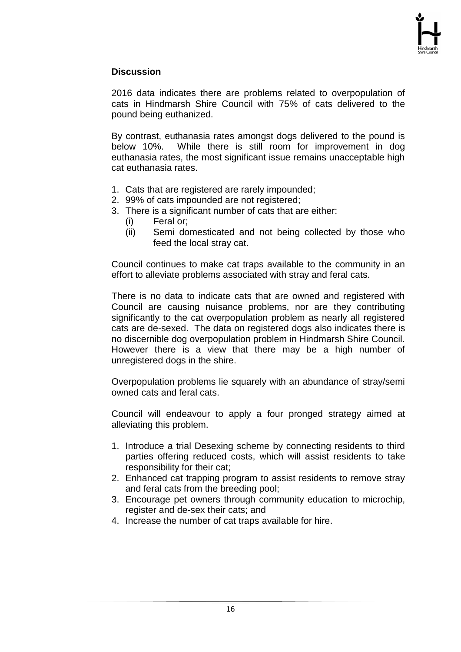#### **Discussion**

2016 data indicates there are problems related to overpopulation of cats in Hindmarsh Shire Council with 75% of cats delivered to the pound being euthanized.

By contrast, euthanasia rates amongst dogs delivered to the pound is below 10%. While there is still room for improvement in dog euthanasia rates, the most significant issue remains unacceptable high cat euthanasia rates.

- 1. Cats that are registered are rarely impounded;
- 2. 99% of cats impounded are not registered;
- 3. There is a significant number of cats that are either:
	- (i) Feral or;
	- (ii) Semi domesticated and not being collected by those who feed the local stray cat.

Council continues to make cat traps available to the community in an effort to alleviate problems associated with stray and feral cats.

There is no data to indicate cats that are owned and registered with Council are causing nuisance problems, nor are they contributing significantly to the cat overpopulation problem as nearly all registered cats are de-sexed. The data on registered dogs also indicates there is no discernible dog overpopulation problem in Hindmarsh Shire Council. However there is a view that there may be a high number of unregistered dogs in the shire.

Overpopulation problems lie squarely with an abundance of stray/semi owned cats and feral cats.

Council will endeavour to apply a four pronged strategy aimed at alleviating this problem.

- 1. Introduce a trial Desexing scheme by connecting residents to third parties offering reduced costs, which will assist residents to take responsibility for their cat;
- 2. Enhanced cat trapping program to assist residents to remove stray and feral cats from the breeding pool;
- 3. Encourage pet owners through community education to microchip, register and de-sex their cats; and
- 4. Increase the number of cat traps available for hire.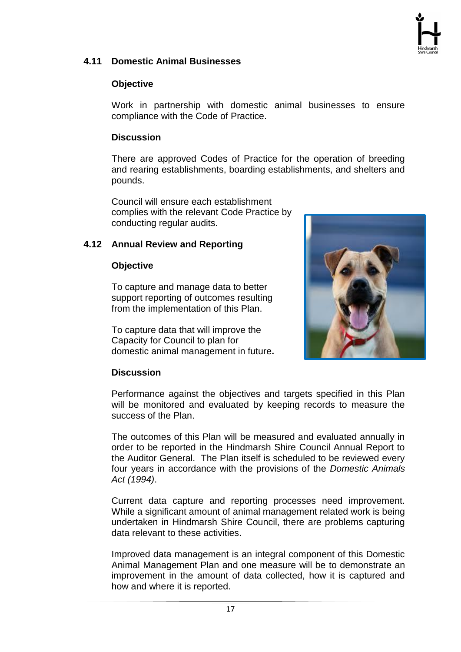

#### <span id="page-18-0"></span>**4.11 Domestic Animal Businesses**

#### **Objective**

Work in partnership with domestic animal businesses to ensure compliance with the Code of Practice.

#### **Discussion**

There are approved Codes of Practice for the operation of breeding and rearing establishments, boarding establishments, and shelters and pounds.

Council will ensure each establishment complies with the relevant Code Practice by conducting regular audits.

#### **4.12 Annual Review and Reporting**

#### **Objective**

To capture and manage data to better support reporting of outcomes resulting from the implementation of this Plan.

To capture data that will improve the Capacity for Council to plan for domestic animal management in future**.**



#### **Discussion**

Performance against the objectives and targets specified in this Plan will be monitored and evaluated by keeping records to measure the success of the Plan.

The outcomes of this Plan will be measured and evaluated annually in order to be reported in the Hindmarsh Shire Council Annual Report to the Auditor General. The Plan itself is scheduled to be reviewed every four years in accordance with the provisions of the *Domestic Animals Act (1994)*.

Current data capture and reporting processes need improvement. While a significant amount of animal management related work is being undertaken in Hindmarsh Shire Council, there are problems capturing data relevant to these activities.

Improved data management is an integral component of this Domestic Animal Management Plan and one measure will be to demonstrate an improvement in the amount of data collected, how it is captured and how and where it is reported.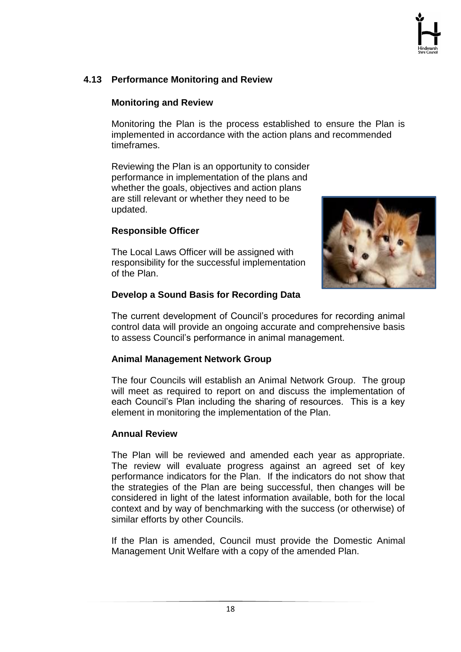### <span id="page-19-0"></span>**4.13 Performance Monitoring and Review**

#### **Monitoring and Review**

Monitoring the Plan is the process established to ensure the Plan is implemented in accordance with the action plans and recommended timeframes.

Reviewing the Plan is an opportunity to consider performance in implementation of the plans and whether the goals, objectives and action plans are still relevant or whether they need to be updated.

#### **Responsible Officer**

The Local Laws Officer will be assigned with responsibility for the successful implementation of the Plan.



#### **Develop a Sound Basis for Recording Data**

The current development of Council's procedures for recording animal control data will provide an ongoing accurate and comprehensive basis to assess Council's performance in animal management.

#### **Animal Management Network Group**

The four Councils will establish an Animal Network Group. The group will meet as required to report on and discuss the implementation of each Council's Plan including the sharing of resources. This is a key element in monitoring the implementation of the Plan.

#### **Annual Review**

The Plan will be reviewed and amended each year as appropriate. The review will evaluate progress against an agreed set of key performance indicators for the Plan. If the indicators do not show that the strategies of the Plan are being successful, then changes will be considered in light of the latest information available, both for the local context and by way of benchmarking with the success (or otherwise) of similar efforts by other Councils.

If the Plan is amended, Council must provide the Domestic Animal Management Unit Welfare with a copy of the amended Plan.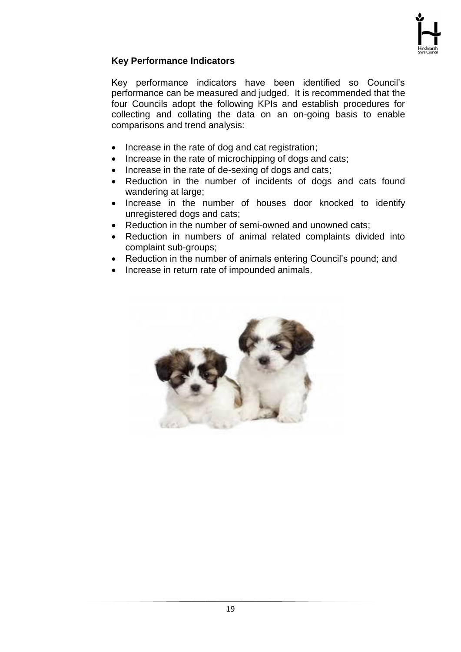

#### **Key Performance Indicators**

Key performance indicators have been identified so Council's performance can be measured and judged. It is recommended that the four Councils adopt the following KPIs and establish procedures for collecting and collating the data on an on-going basis to enable comparisons and trend analysis:

- Increase in the rate of dog and cat registration;
- Increase in the rate of microchipping of dogs and cats;
- Increase in the rate of de-sexing of dogs and cats;
- Reduction in the number of incidents of dogs and cats found wandering at large;
- Increase in the number of houses door knocked to identify unregistered dogs and cats;
- Reduction in the number of semi-owned and unowned cats;
- Reduction in numbers of animal related complaints divided into complaint sub-groups;
- Reduction in the number of animals entering Council's pound; and
- Increase in return rate of impounded animals.

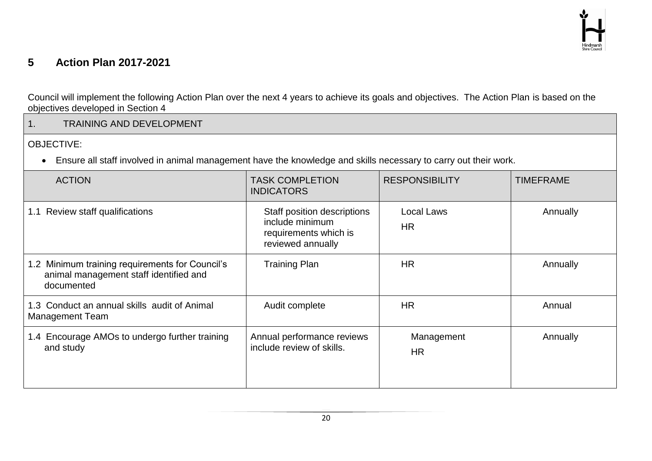# **5 Action Plan 2017-2021**

Council will implement the following Action Plan over the next 4 years to achieve its goals and objectives. The Action Plan is based on the objectives developed in Section 4

<span id="page-21-0"></span>

| 1.<br><b>TRAINING AND DEVELOPMENT</b>                                                                           |                                                                                              |                                |                  |
|-----------------------------------------------------------------------------------------------------------------|----------------------------------------------------------------------------------------------|--------------------------------|------------------|
| <b>OBJECTIVE:</b>                                                                                               |                                                                                              |                                |                  |
| Ensure all staff involved in animal management have the knowledge and skills necessary to carry out their work. |                                                                                              |                                |                  |
| <b>ACTION</b>                                                                                                   | <b>TASK COMPLETION</b><br><b>INDICATORS</b>                                                  | <b>RESPONSIBILITY</b>          | <b>TIMEFRAME</b> |
| 1.1 Review staff qualifications                                                                                 | Staff position descriptions<br>include minimum<br>requirements which is<br>reviewed annually | <b>Local Laws</b><br><b>HR</b> | Annually         |
| 1.2 Minimum training requirements for Council's<br>animal management staff identified and<br>documented         | <b>Training Plan</b>                                                                         | <b>HR</b>                      | Annually         |
| 1.3 Conduct an annual skills audit of Animal<br><b>Management Team</b>                                          | Audit complete                                                                               | <b>HR</b>                      | Annual           |
| 1.4 Encourage AMOs to undergo further training<br>and study                                                     | Annual performance reviews<br>include review of skills.                                      | Management<br><b>HR</b>        | Annually         |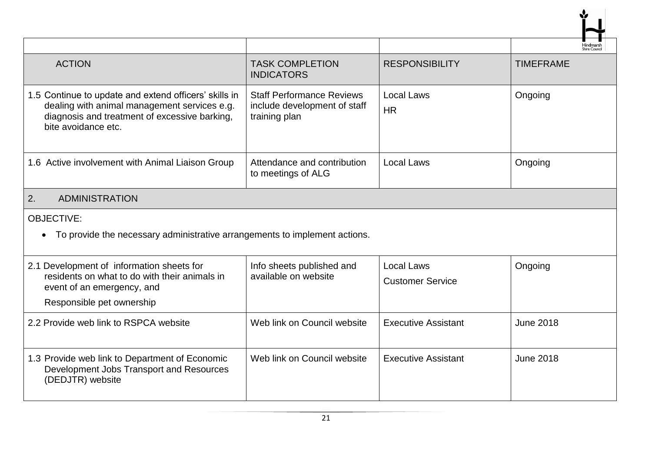|                                                                                                                                                                               |                                                                                   |                                       | Hindmarsl        |
|-------------------------------------------------------------------------------------------------------------------------------------------------------------------------------|-----------------------------------------------------------------------------------|---------------------------------------|------------------|
| <b>ACTION</b>                                                                                                                                                                 | <b>TASK COMPLETION</b><br><b>INDICATORS</b>                                       | <b>RESPONSIBILITY</b>                 | <b>TIMEFRAME</b> |
| 1.5 Continue to update and extend officers' skills in<br>dealing with animal management services e.g.<br>diagnosis and treatment of excessive barking,<br>bite avoidance etc. | <b>Staff Performance Reviews</b><br>include development of staff<br>training plan | Local Laws<br><b>HR</b>               | Ongoing          |
| 1.6 Active involvement with Animal Liaison Group                                                                                                                              | Attendance and contribution<br>to meetings of ALG                                 | <b>Local Laws</b>                     | Ongoing          |
| 2.<br><b>ADMINISTRATION</b>                                                                                                                                                   |                                                                                   |                                       |                  |
| <b>OBJECTIVE:</b><br>To provide the necessary administrative arrangements to implement actions.<br>$\bullet$                                                                  |                                                                                   |                                       |                  |
| 2.1 Development of information sheets for<br>residents on what to do with their animals in<br>event of an emergency, and<br>Responsible pet ownership                         | Info sheets published and<br>available on website                                 | Local Laws<br><b>Customer Service</b> | Ongoing          |
| 2.2 Provide web link to RSPCA website                                                                                                                                         | Web link on Council website                                                       | <b>Executive Assistant</b>            | <b>June 2018</b> |
| 1.3 Provide web link to Department of Economic<br>Development Jobs Transport and Resources<br>(DEDJTR) website                                                                | Web link on Council website                                                       | <b>Executive Assistant</b>            | <b>June 2018</b> |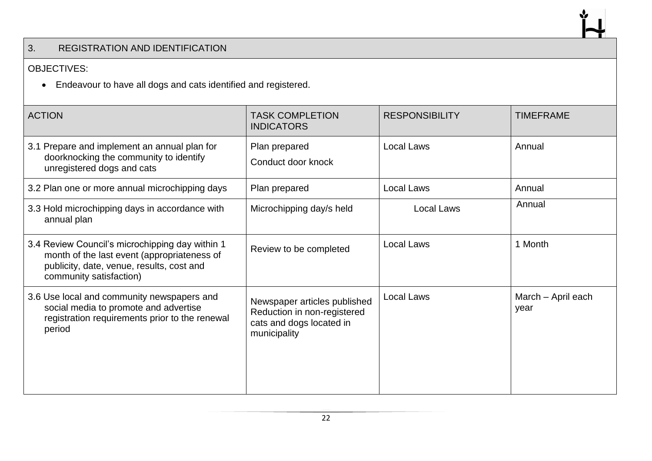## 3. REGISTRATION AND IDENTIFICATION

#### OBJECTIVES:

Endeavour to have all dogs and cats identified and registered.

| <b>ACTION</b>                                                                                                                                                          | <b>TASK COMPLETION</b><br><b>INDICATORS</b>                                                             | <b>RESPONSIBILITY</b> | <b>TIMEFRAME</b>           |
|------------------------------------------------------------------------------------------------------------------------------------------------------------------------|---------------------------------------------------------------------------------------------------------|-----------------------|----------------------------|
| 3.1 Prepare and implement an annual plan for<br>doorknocking the community to identify<br>unregistered dogs and cats                                                   | Plan prepared<br>Conduct door knock                                                                     | <b>Local Laws</b>     | Annual                     |
| 3.2 Plan one or more annual microchipping days                                                                                                                         | Plan prepared                                                                                           | Local Laws            | Annual                     |
| 3.3 Hold microchipping days in accordance with<br>annual plan                                                                                                          | Microchipping day/s held                                                                                | Local Laws            | Annual                     |
| 3.4 Review Council's microchipping day within 1<br>month of the last event (appropriateness of<br>publicity, date, venue, results, cost and<br>community satisfaction) | Review to be completed                                                                                  | <b>Local Laws</b>     | 1 Month                    |
| 3.6 Use local and community newspapers and<br>social media to promote and advertise<br>registration requirements prior to the renewal<br>period                        | Newspaper articles published<br>Reduction in non-registered<br>cats and dogs located in<br>municipality | <b>Local Laws</b>     | March - April each<br>year |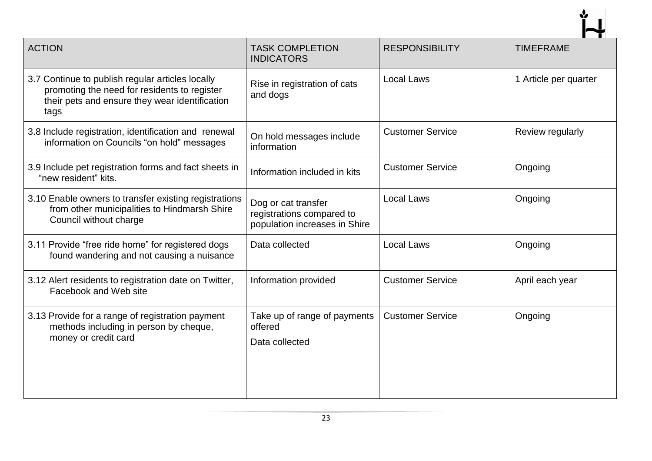| <b>ACTION</b>                                                                                                                                              | <b>TASK COMPLETION</b><br><b>INDICATORS</b>                                       | <b>RESPONSIBILITY</b>   | <b>TIMEFRAME</b>      |
|------------------------------------------------------------------------------------------------------------------------------------------------------------|-----------------------------------------------------------------------------------|-------------------------|-----------------------|
| 3.7 Continue to publish regular articles locally<br>promoting the need for residents to register<br>their pets and ensure they wear identification<br>tags | Rise in registration of cats<br>and dogs                                          | <b>Local Laws</b>       | 1 Article per quarter |
| 3.8 Include registration, identification and renewal<br>information on Councils "on hold" messages                                                         | On hold messages include<br>information                                           | <b>Customer Service</b> | Review regularly      |
| 3.9 Include pet registration forms and fact sheets in<br>"new resident" kits.                                                                              | Information included in kits                                                      | <b>Customer Service</b> | Ongoing               |
| 3.10 Enable owners to transfer existing registrations<br>from other municipalities to Hindmarsh Shire<br>Council without charge                            | Dog or cat transfer<br>registrations compared to<br>population increases in Shire | <b>Local Laws</b>       | Ongoing               |
| 3.11 Provide "free ride home" for registered dogs<br>found wandering and not causing a nuisance                                                            | Data collected                                                                    | <b>Local Laws</b>       | Ongoing               |
| 3.12 Alert residents to registration date on Twitter,<br>Facebook and Web site                                                                             | Information provided                                                              | <b>Customer Service</b> | April each year       |
| 3.13 Provide for a range of registration payment<br>methods including in person by cheque,<br>money or credit card                                         | Take up of range of payments<br>offered<br>Data collected                         | <b>Customer Service</b> | Ongoing               |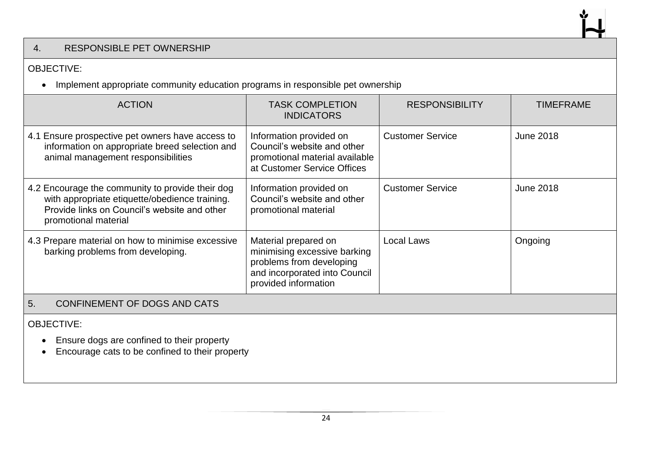#### 4. RESPONSIBLE PET OWNERSHIP

#### OBJECTIVE:

• Implement appropriate community education programs in responsible pet ownership

| <b>ACTION</b>                                                                                                                                                              | <b>TASK COMPLETION</b><br><b>INDICATORS</b>                                                                                               | <b>RESPONSIBILITY</b>   | <b>TIMEFRAME</b> |
|----------------------------------------------------------------------------------------------------------------------------------------------------------------------------|-------------------------------------------------------------------------------------------------------------------------------------------|-------------------------|------------------|
| 4.1 Ensure prospective pet owners have access to<br>information on appropriate breed selection and<br>animal management responsibilities                                   | Information provided on<br>Council's website and other<br>promotional material available<br>at Customer Service Offices                   | <b>Customer Service</b> | <b>June 2018</b> |
| 4.2 Encourage the community to provide their dog<br>with appropriate etiquette/obedience training.<br>Provide links on Council's website and other<br>promotional material | Information provided on<br>Council's website and other<br>promotional material                                                            | <b>Customer Service</b> | <b>June 2018</b> |
| 4.3 Prepare material on how to minimise excessive<br>barking problems from developing.                                                                                     | Material prepared on<br>minimising excessive barking<br>problems from developing<br>and incorporated into Council<br>provided information | <b>Local Laws</b>       | Ongoing          |
| 5.<br>CONFINEMENT OF DOGS AND CATS                                                                                                                                         |                                                                                                                                           |                         |                  |
| <b>OBJECTIVE:</b><br>Ensure dogs are confined to their property<br>$\bullet$<br>Encourage cats to be confined to their property                                            |                                                                                                                                           |                         |                  |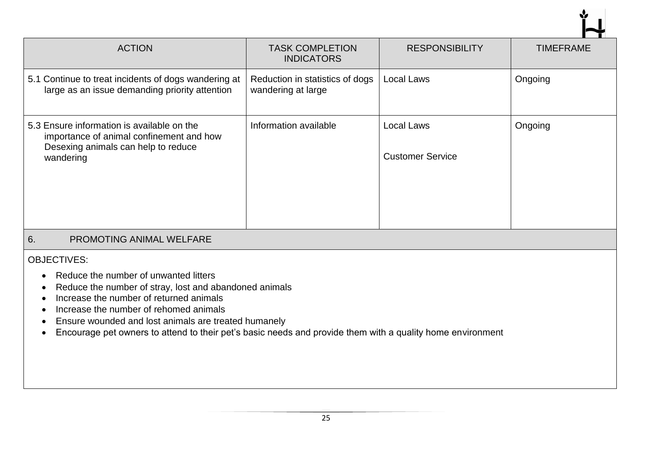| <b>ACTION</b>                                                                                                                                                                                                                                                                                                                                                                    | <b>TASK COMPLETION</b><br><b>INDICATORS</b>           | <b>RESPONSIBILITY</b>                        | <b>TIMEFRAME</b> |
|----------------------------------------------------------------------------------------------------------------------------------------------------------------------------------------------------------------------------------------------------------------------------------------------------------------------------------------------------------------------------------|-------------------------------------------------------|----------------------------------------------|------------------|
| 5.1 Continue to treat incidents of dogs wandering at<br>large as an issue demanding priority attention                                                                                                                                                                                                                                                                           | Reduction in statistics of dogs<br>wandering at large | <b>Local Laws</b>                            | Ongoing          |
| 5.3 Ensure information is available on the<br>importance of animal confinement and how<br>Desexing animals can help to reduce<br>wandering                                                                                                                                                                                                                                       | Information available                                 | <b>Local Laws</b><br><b>Customer Service</b> | Ongoing          |
| PROMOTING ANIMAL WELFARE<br>6.                                                                                                                                                                                                                                                                                                                                                   |                                                       |                                              |                  |
| <b>OBJECTIVES:</b><br>Reduce the number of unwanted litters<br>Reduce the number of stray, lost and abandoned animals<br>Increase the number of returned animals<br>Increase the number of rehomed animals<br>Ensure wounded and lost animals are treated humanely<br>Encourage pet owners to attend to their pet's basic needs and provide them with a quality home environment |                                                       |                                              |                  |

Ý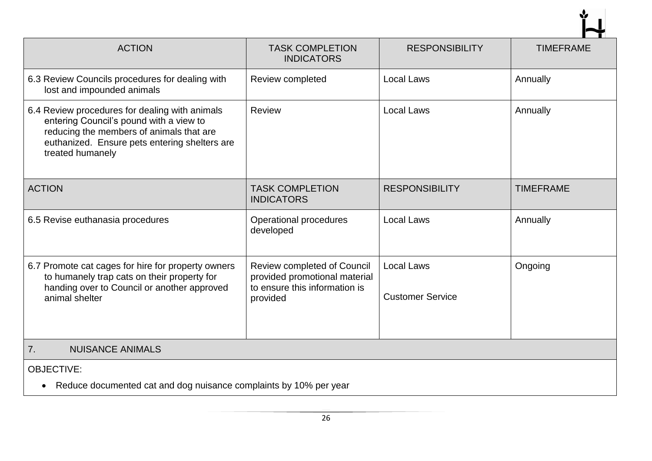| <b>ACTION</b>                                                                                                                                                                                              | <b>TASK COMPLETION</b><br><b>INDICATORS</b>                                                               | <b>RESPONSIBILITY</b>                        | <b>TIMEFRAME</b> |
|------------------------------------------------------------------------------------------------------------------------------------------------------------------------------------------------------------|-----------------------------------------------------------------------------------------------------------|----------------------------------------------|------------------|
| 6.3 Review Councils procedures for dealing with<br>lost and impounded animals                                                                                                                              | Review completed                                                                                          | <b>Local Laws</b>                            | Annually         |
| 6.4 Review procedures for dealing with animals<br>entering Council's pound with a view to<br>reducing the members of animals that are<br>euthanized. Ensure pets entering shelters are<br>treated humanely | Review                                                                                                    | <b>Local Laws</b>                            | Annually         |
| <b>ACTION</b>                                                                                                                                                                                              | <b>TASK COMPLETION</b><br><b>INDICATORS</b>                                                               | <b>RESPONSIBILITY</b>                        | <b>TIMEFRAME</b> |
| 6.5 Revise euthanasia procedures                                                                                                                                                                           | Operational procedures<br>developed                                                                       | <b>Local Laws</b>                            | Annually         |
| 6.7 Promote cat cages for hire for property owners<br>to humanely trap cats on their property for<br>handing over to Council or another approved<br>animal shelter                                         | Review completed of Council<br>provided promotional material<br>to ensure this information is<br>provided | <b>Local Laws</b><br><b>Customer Service</b> | Ongoing          |
| <b>NUISANCE ANIMALS</b><br>7.                                                                                                                                                                              |                                                                                                           |                                              |                  |
| <b>OBJECTIVE:</b><br>Reduce documented cat and dog nuisance complaints by 10% per year                                                                                                                     |                                                                                                           |                                              |                  |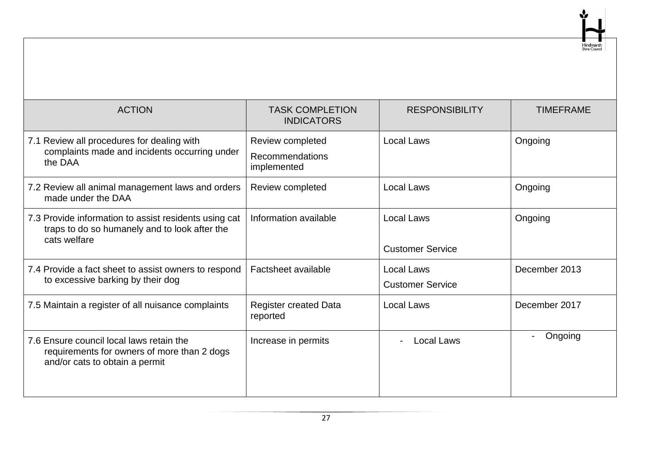| <b>ACTION</b>                                                                                                             | <b>TASK COMPLETION</b><br><b>INDICATORS</b>        | <b>RESPONSIBILITY</b>                        | <b>TIMEFRAME</b> |
|---------------------------------------------------------------------------------------------------------------------------|----------------------------------------------------|----------------------------------------------|------------------|
| Review all procedures for dealing with<br>7.1<br>complaints made and incidents occurring under<br>the DAA                 | Review completed<br>Recommendations<br>implemented | <b>Local Laws</b>                            | Ongoing          |
| 7.2 Review all animal management laws and orders<br>made under the DAA                                                    | Review completed                                   | Local Laws                                   | Ongoing          |
| 7.3 Provide information to assist residents using cat<br>traps to do so humanely and to look after the<br>cats welfare    | Information available                              | <b>Local Laws</b><br><b>Customer Service</b> | Ongoing          |
| 7.4 Provide a fact sheet to assist owners to respond<br>to excessive barking by their dog                                 | Factsheet available                                | <b>Local Laws</b><br><b>Customer Service</b> | December 2013    |
| 7.5 Maintain a register of all nuisance complaints                                                                        | <b>Register created Data</b><br>reported           | <b>Local Laws</b>                            | December 2017    |
| 7.6 Ensure council local laws retain the<br>requirements for owners of more than 2 dogs<br>and/or cats to obtain a permit | Increase in permits                                | <b>Local Laws</b>                            | Ongoing          |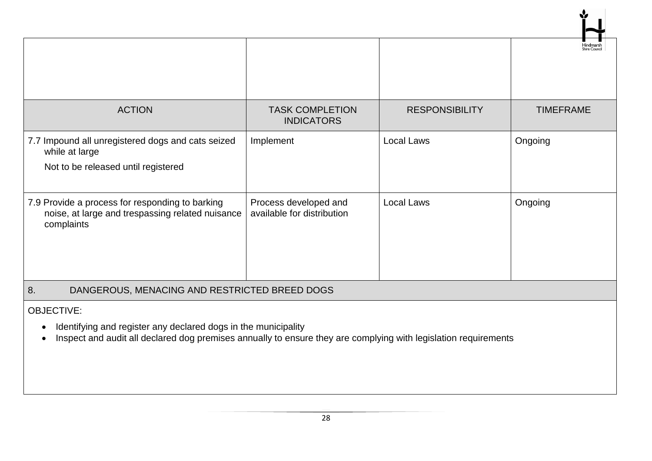|                                                                                                                                                                                                                                  |                                                     |                       | Shire Cound      |
|----------------------------------------------------------------------------------------------------------------------------------------------------------------------------------------------------------------------------------|-----------------------------------------------------|-----------------------|------------------|
|                                                                                                                                                                                                                                  |                                                     |                       |                  |
| <b>ACTION</b>                                                                                                                                                                                                                    | <b>TASK COMPLETION</b><br><b>INDICATORS</b>         | <b>RESPONSIBILITY</b> | <b>TIMEFRAME</b> |
| 7.7 Impound all unregistered dogs and cats seized<br>while at large                                                                                                                                                              | Implement                                           | <b>Local Laws</b>     | Ongoing          |
| Not to be released until registered                                                                                                                                                                                              |                                                     |                       |                  |
| 7.9 Provide a process for responding to barking<br>noise, at large and trespassing related nuisance<br>complaints                                                                                                                | Process developed and<br>available for distribution | Local Laws            | Ongoing          |
| 8.<br>DANGEROUS, MENACING AND RESTRICTED BREED DOGS                                                                                                                                                                              |                                                     |                       |                  |
| <b>OBJECTIVE:</b><br>Identifying and register any declared dogs in the municipality<br>$\bullet$<br>Inspect and audit all declared dog premises annually to ensure they are complying with legislation requirements<br>$\bullet$ |                                                     |                       |                  |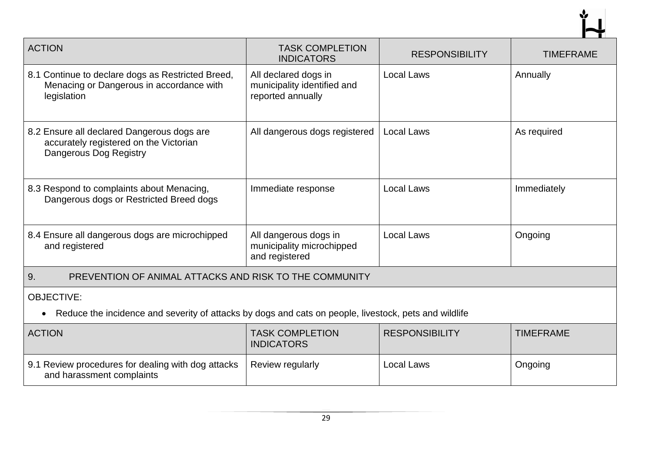| <b>ACTION</b>                                                                                                      | <b>TASK COMPLETION</b><br><b>INDICATORS</b>                              | <b>RESPONSIBILITY</b> | <b>TIMEFRAME</b> |
|--------------------------------------------------------------------------------------------------------------------|--------------------------------------------------------------------------|-----------------------|------------------|
| 8.1 Continue to declare dogs as Restricted Breed,<br>Menacing or Dangerous in accordance with<br>legislation       | All declared dogs in<br>municipality identified and<br>reported annually | <b>Local Laws</b>     | Annually         |
| 8.2 Ensure all declared Dangerous dogs are<br>accurately registered on the Victorian<br>Dangerous Dog Registry     | All dangerous dogs registered                                            | <b>Local Laws</b>     | As required      |
| 8.3 Respond to complaints about Menacing,<br>Dangerous dogs or Restricted Breed dogs                               | Immediate response                                                       | <b>Local Laws</b>     | Immediately      |
| 8.4 Ensure all dangerous dogs are microchipped<br>and registered                                                   | All dangerous dogs in<br>municipality microchipped<br>and registered     | <b>Local Laws</b>     | Ongoing          |
| 9.<br>PREVENTION OF ANIMAL ATTACKS AND RISK TO THE COMMUNITY                                                       |                                                                          |                       |                  |
| <b>OBJECTIVE:</b>                                                                                                  |                                                                          |                       |                  |
| Reduce the incidence and severity of attacks by dogs and cats on people, livestock, pets and wildlife<br>$\bullet$ |                                                                          |                       |                  |
| <b>ACTION</b>                                                                                                      | <b>TASK COMPLETION</b><br><b>INDICATORS</b>                              | <b>RESPONSIBILITY</b> | <b>TIMEFRAME</b> |
| 9.1 Review procedures for dealing with dog attacks<br>and harassment complaints                                    | Review regularly                                                         | <b>Local Laws</b>     | Ongoing          |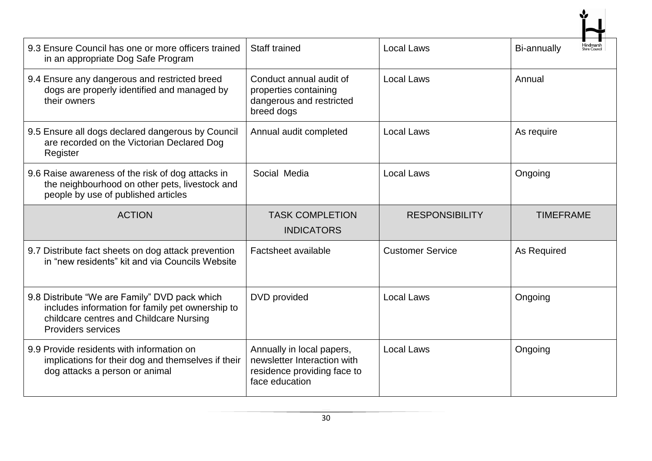| 9.3 Ensure Council has one or more officers trained<br>in an appropriate Dog Safe Program                                                                                 | <b>Staff trained</b>                                                                       | <b>Local Laws</b>       | <b>-Iindmarsh<br/><sup>Shire Counci</sup></b><br>Bi-annually |
|---------------------------------------------------------------------------------------------------------------------------------------------------------------------------|--------------------------------------------------------------------------------------------|-------------------------|--------------------------------------------------------------|
| 9.4 Ensure any dangerous and restricted breed<br>dogs are properly identified and managed by<br>their owners                                                              | Conduct annual audit of<br>properties containing<br>dangerous and restricted<br>breed dogs | <b>Local Laws</b>       | Annual                                                       |
| 9.5 Ensure all dogs declared dangerous by Council<br>are recorded on the Victorian Declared Dog<br>Register                                                               | Annual audit completed                                                                     | <b>Local Laws</b>       | As require                                                   |
| 9.6 Raise awareness of the risk of dog attacks in<br>the neighbourhood on other pets, livestock and<br>people by use of published articles                                | Social Media                                                                               | <b>Local Laws</b>       | Ongoing                                                      |
|                                                                                                                                                                           |                                                                                            |                         |                                                              |
| <b>ACTION</b>                                                                                                                                                             | <b>TASK COMPLETION</b><br><b>INDICATORS</b>                                                | <b>RESPONSIBILITY</b>   | <b>TIMEFRAME</b>                                             |
| 9.7 Distribute fact sheets on dog attack prevention<br>in "new residents" kit and via Councils Website                                                                    | Factsheet available                                                                        | <b>Customer Service</b> | As Required                                                  |
| 9.8 Distribute "We are Family" DVD pack which<br>includes information for family pet ownership to<br>childcare centres and Childcare Nursing<br><b>Providers services</b> | DVD provided                                                                               | <b>Local Laws</b>       | Ongoing                                                      |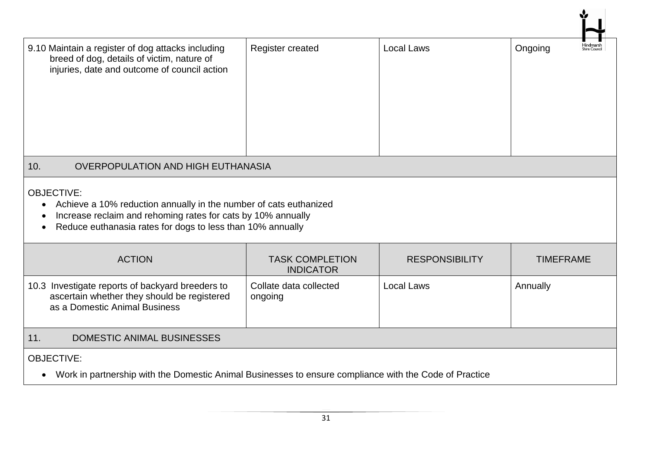| 9.10 Maintain a register of dog attacks including<br>breed of dog, details of victim, nature of<br>injuries, date and outcome of council action                                                                                   | Register created                           | <b>Local Laws</b>     | <b>Hindmarsh</b><br>Shire Counci<br>Ongoing |  |  |
|-----------------------------------------------------------------------------------------------------------------------------------------------------------------------------------------------------------------------------------|--------------------------------------------|-----------------------|---------------------------------------------|--|--|
| 10.<br><b>OVERPOPULATION AND HIGH EUTHANASIA</b>                                                                                                                                                                                  |                                            |                       |                                             |  |  |
| <b>OBJECTIVE:</b><br>Achieve a 10% reduction annually in the number of cats euthanized<br>Increase reclaim and rehoming rates for cats by 10% annually<br>Reduce euthanasia rates for dogs to less than 10% annually<br>$\bullet$ |                                            |                       |                                             |  |  |
| <b>ACTION</b>                                                                                                                                                                                                                     | <b>TASK COMPLETION</b><br><b>INDICATOR</b> | <b>RESPONSIBILITY</b> | <b>TIMEFRAME</b>                            |  |  |
| 10.3 Investigate reports of backyard breeders to<br>ascertain whether they should be registered<br>as a Domestic Animal Business                                                                                                  | Collate data collected<br>ongoing          | <b>Local Laws</b>     | Annually                                    |  |  |
| 11.<br><b>DOMESTIC ANIMAL BUSINESSES</b>                                                                                                                                                                                          |                                            |                       |                                             |  |  |
| <b>OBJECTIVE:</b><br>Work in partnership with the Domestic Animal Businesses to ensure compliance with the Code of Practice                                                                                                       |                                            |                       |                                             |  |  |